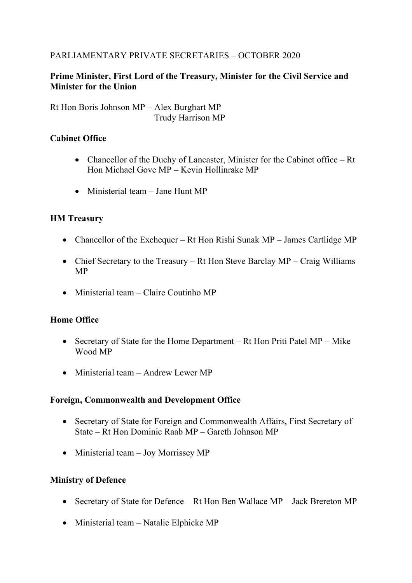# PARLIAMENTARY PRIVATE SECRETARIES – OCTOBER 2020

# **Prime Minister, First Lord of the Treasury, Minister for the Civil Service and Minister for the Union**

Rt Hon Boris Johnson MP – Alex Burghart MP Trudy Harrison MP

### **Cabinet Office**

- Chancellor of the Duchy of Lancaster, Minister for the Cabinet office Rt Hon Michael Gove MP – Kevin Hollinrake MP
- Ministerial team Jane Hunt MP

# **HM Treasury**

- Chancellor of the Exchequer Rt Hon Rishi Sunak MP James Cartlidge MP
- Chief Secretary to the Treasury Rt Hon Steve Barclay MP Craig Williams MP
- Ministerial team Claire Coutinho MP

### **Home Office**

- Secretary of State for the Home Department Rt Hon Priti Patel MP Mike Wood MP
- Ministerial team Andrew Lewer MP

### **Foreign, Commonwealth and Development Office**

- Secretary of State for Foreign and Commonwealth Affairs, First Secretary of State – Rt Hon Dominic Raab MP – Gareth Johnson MP
- Ministerial team Joy Morrissey MP

### **Ministry of Defence**

- Secretary of State for Defence Rt Hon Ben Wallace MP Jack Brereton MP
- Ministerial team Natalie Elphicke MP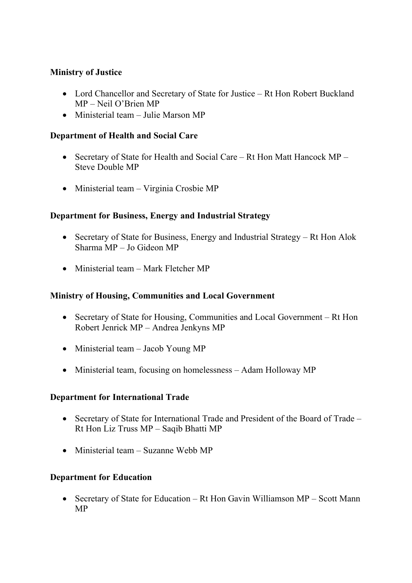# **Ministry of Justice**

- Lord Chancellor and Secretary of State for Justice Rt Hon Robert Buckland MP – Neil O'Brien MP
- Ministerial team Julie Marson MP

### **Department of Health and Social Care**

- Secretary of State for Health and Social Care Rt Hon Matt Hancock MP Steve Double MP
- Ministerial team Virginia Crosbie MP

# **Department for Business, Energy and Industrial Strategy**

- Secretary of State for Business, Energy and Industrial Strategy Rt Hon Alok Sharma MP – Jo Gideon MP
- Ministerial team Mark Fletcher MP

### **Ministry of Housing, Communities and Local Government**

- Secretary of State for Housing, Communities and Local Government Rt Hon Robert Jenrick MP – Andrea Jenkyns MP
- Ministerial team Jacob Young MP
- Ministerial team, focusing on homelessness Adam Holloway MP

### **Department for International Trade**

- Secretary of State for International Trade and President of the Board of Trade Rt Hon Liz Truss MP – Saqib Bhatti MP
- Ministerial team Suzanne Webb MP

### **Department for Education**

• Secretary of State for Education – Rt Hon Gavin Williamson MP – Scott Mann MP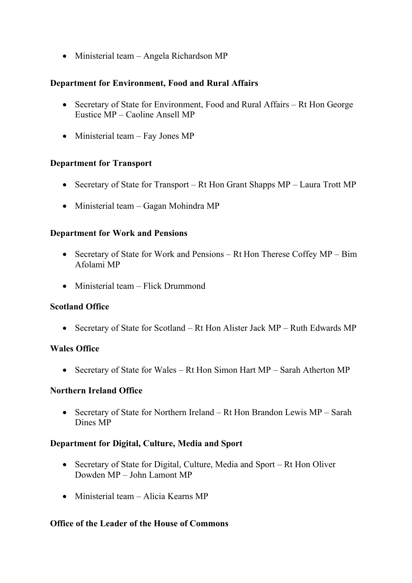• Ministerial team – Angela Richardson MP

# **Department for Environment, Food and Rural Affairs**

- Secretary of State for Environment, Food and Rural Affairs Rt Hon George Eustice MP – Caoline Ansell MP
- Ministerial team Fay Jones MP

### **Department for Transport**

- Secretary of State for Transport Rt Hon Grant Shapps MP Laura Trott MP
- Ministerial team Gagan Mohindra MP

### **Department for Work and Pensions**

- Secretary of State for Work and Pensions Rt Hon Therese Coffey MP Bim Afolami MP
- Ministerial team Flick Drummond

### **Scotland Office**

• Secretary of State for Scotland – Rt Hon Alister Jack MP – Ruth Edwards MP

### **Wales Office**

• Secretary of State for Wales – Rt Hon Simon Hart MP – Sarah Atherton MP

### **Northern Ireland Office**

• Secretary of State for Northern Ireland – Rt Hon Brandon Lewis MP – Sarah Dines MP

### **Department for Digital, Culture, Media and Sport**

- Secretary of State for Digital, Culture, Media and Sport Rt Hon Oliver Dowden MP – John Lamont MP
- Ministerial team Alicia Kearns MP

### **Office of the Leader of the House of Commons**